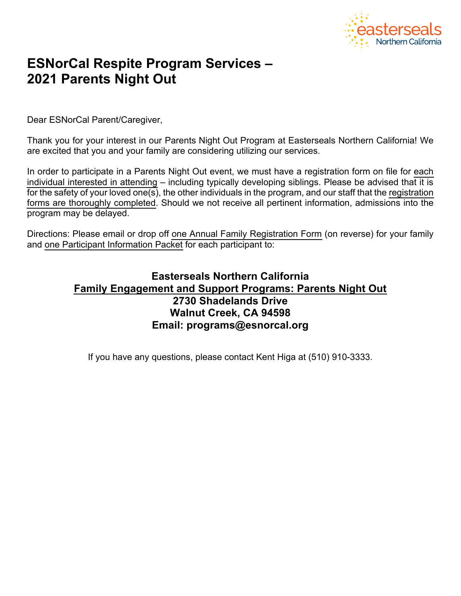

# **ESNorCal Respite Program Services – 2021 Parents Night Out**

Dear ESNorCal Parent/Caregiver,

Thank you for your interest in our Parents Night Out Program at Easterseals Northern California! We are excited that you and your family are considering utilizing our services.

In order to participate in a Parents Night Out event, we must have a registration form on file for each individual interested in attending – including typically developing siblings. Please be advised that it is for the safety of your loved one(s), the other individuals in the program, and our staff that the registration forms are thoroughly completed. Should we not receive all pertinent information, admissions into the program may be delayed.

Directions: Please email or drop off one Annual Family Registration Form (on reverse) for your family and one Participant Information Packet for each participant to:

# **Easterseals Northern California Family Engagement and Support Programs: Parents Night Out 2730 Shadelands Drive Walnut Creek, CA 94598 Email: programs@esnorcal.org**

If you have any questions, please contact Kent Higa at (510) 910-3333.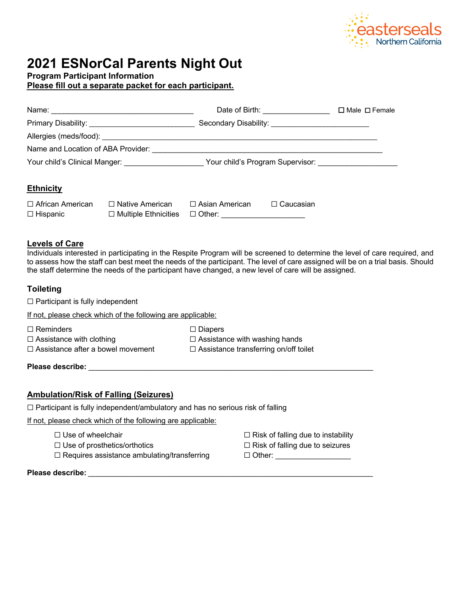

# **2021 ESNorCal Parents Night Out**

**Program Participant Information**

**Please fill out a separate packet for each participant.**

|                                                                |                        |                                                        |                                                                      | $\Box$ Male $\Box$ Female |
|----------------------------------------------------------------|------------------------|--------------------------------------------------------|----------------------------------------------------------------------|---------------------------|
|                                                                |                        | Secondary Disability: ________________________________ |                                                                      |                           |
|                                                                |                        |                                                        |                                                                      |                           |
|                                                                |                        |                                                        |                                                                      |                           |
| Your child's Clinical Manger:<br>Nour child's Clinical Manger: |                        |                                                        | Your child's Program Supervisor: Network Contract to the Supervisor: |                           |
|                                                                |                        |                                                        |                                                                      |                           |
| <b>Ethnicity</b>                                               |                        |                                                        |                                                                      |                           |
| $\Box$ African American                                        | $\Box$ Native American | $\Box$ Asian American                                  | Caucasian                                                            |                           |

### **Levels of Care**

Individuals interested in participating in the Respite Program will be screened to determine the level of care required, and to assess how the staff can best meet the needs of the participant. The level of care assigned will be on a trial basis. Should the staff determine the needs of the participant have changed, a new level of care will be assigned.

## **Toileting**

 $\Box$  Participant is fully independent

If not, please check which of the following are applicable:

☐ Reminders ☐ Diapers

☐ Assistance with clothing ☐ Assistance with washing hands ☐ Assistance after a bowel movement ☐ Assistance transferring on/off toilet

**Please describe:**  $\blacksquare$ 

### **Ambulation/Risk of Falling (Seizures)**

 $\Box$  Participant is fully independent/ambulatory and has no serious risk of falling

☐ Hispanic ☐ Multiple Ethnicities ☐ Other: \_\_\_\_\_\_\_\_\_\_\_\_\_\_\_\_\_\_\_\_

If not, please check which of the following are applicable:

- 
- ☐ Use of prosthetics/orthotics ☐ Risk of falling due to seizures
- $\Box$  Requires assistance ambulating/transferring  $\Box$  Other: \_\_\_\_\_\_\_\_\_\_\_\_\_\_\_\_\_\_\_\_
- ☐ Use of wheelchair ☐ Risk of falling due to instability
	-
	-

**Please describe:** *\_\_\_\_\_\_\_\_\_\_\_\_\_\_\_\_\_\_\_\_\_\_\_\_\_\_\_\_\_\_\_\_\_\_\_\_\_\_\_\_\_\_\_\_\_\_\_\_\_\_\_\_\_\_\_\_\_\_\_\_\_\_\_\_\_\_\_\_*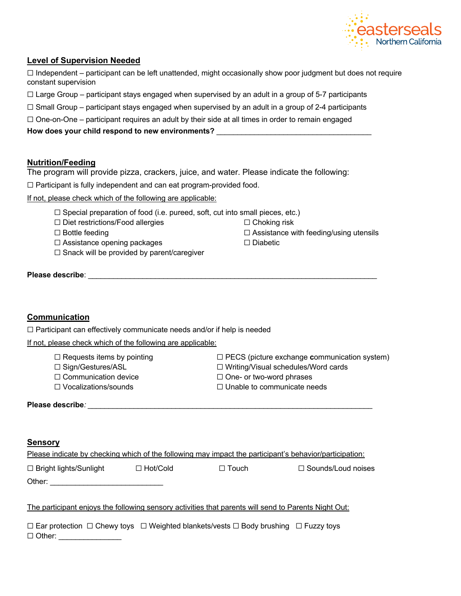

### **Level of Supervision Needed**

 $\Box$  Independent – participant can be left unattended, might occasionally show poor judgment but does not require constant supervision

 $\Box$  Large Group – participant stays engaged when supervised by an adult in a group of 5-7 participants

- $\Box$  Small Group participant stays engaged when supervised by an adult in a group of 2-4 participants
- □ One-on-One participant requires an adult by their side at all times in order to remain engaged

#### **How does your child respond to new environments?** \_\_\_\_\_\_\_\_\_\_\_\_\_\_\_\_\_\_\_\_\_\_\_\_\_\_\_\_\_\_\_\_\_\_\_\_\_

### **Nutrition/Feeding**

The program will provide pizza, crackers, juice, and water. Please indicate the following:

☐ Participant is fully independent and can eat program-provided food.

If not, please check which of the following are applicable:

- $\Box$  Special preparation of food (i.e. pureed, soft, cut into small pieces, etc.)
- ☐ Diet restrictions/Food allergies ☐ Choking risk
- ☐ Bottle feeding ☐ Assistance with feeding/using utensils
- ☐ Assistance opening packages ☐ Diabetic
- ☐ Snack will be provided by parent/caregiver

**Please describe:**  $\blacksquare$ 

### **Communication**

 $\Box$  Participant can effectively communicate needs and/or if help is needed

If not, please check which of the following are applicable:

- 
- 
- ☐ Communication device ☐ One- or two-word phrases
- 
- ☐ Requests items by pointing ☐ PECS (picture exchange **c**ommunication system)
- ☐ Sign/Gestures/ASL ☐ Writing/Visual schedules/Word cards
	-
- ☐ Vocalizations/sounds ☐ Unable to communicate needs

Please describe*:* **and the set of the set of the set of the set of the set of the set of the set of the set of the set of the set of the set of the set of the set of the set of the set of the set of the set of the set of** 

#### **Sensory**

| Please indicate by checking which of the following may impact the participant's behavior/participation: |                 |              |                           |
|---------------------------------------------------------------------------------------------------------|-----------------|--------------|---------------------------|
| $\Box$ Bright lights/Sunlight                                                                           | $\Box$ Hot/Cold | $\Box$ Touch | $\Box$ Sounds/Loud noises |
| Other:                                                                                                  |                 |              |                           |
| The participant enjoys the following sensory activities that parents will send to Parents Night Out:    |                 |              |                           |

|               | $\Box$ Ear protection $\Box$ Chewy toys $\Box$ Weighted blankets/vests $\Box$ Body brushing $\Box$ Fuzzy toys |  |
|---------------|---------------------------------------------------------------------------------------------------------------|--|
| $\Box$ Other: |                                                                                                               |  |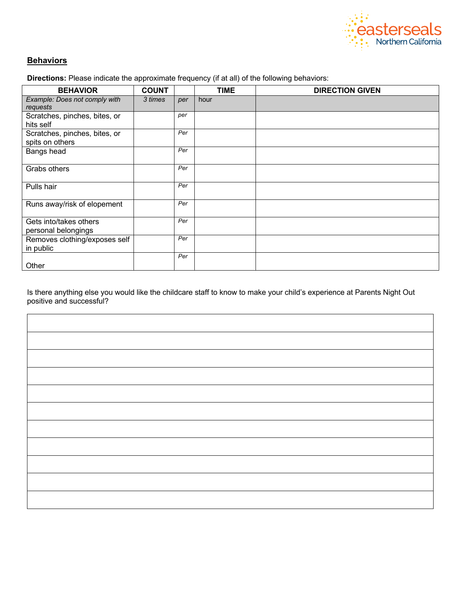

## **Behaviors**

**Directions:** Please indicate the approximate frequency (if at all) of the following behaviors:

| <b>BEHAVIOR</b>                                  | <b>COUNT</b> |     | <b>TIME</b> | <b>DIRECTION GIVEN</b> |
|--------------------------------------------------|--------------|-----|-------------|------------------------|
| Example: Does not comply with<br>requests        | 3 times      | per | hour        |                        |
| Scratches, pinches, bites, or<br>hits self       |              | per |             |                        |
| Scratches, pinches, bites, or<br>spits on others |              | Per |             |                        |
| Bangs head                                       |              | Per |             |                        |
| Grabs others                                     |              | Per |             |                        |
| Pulls hair                                       |              | Per |             |                        |
| Runs away/risk of elopement                      |              | Per |             |                        |
| Gets into/takes others<br>personal belongings    |              | Per |             |                        |
| Removes clothing/exposes self<br>in public       |              | Per |             |                        |
| Other                                            |              | Per |             |                        |

Is there anything else you would like the childcare staff to know to make your child's experience at Parents Night Out positive and successful?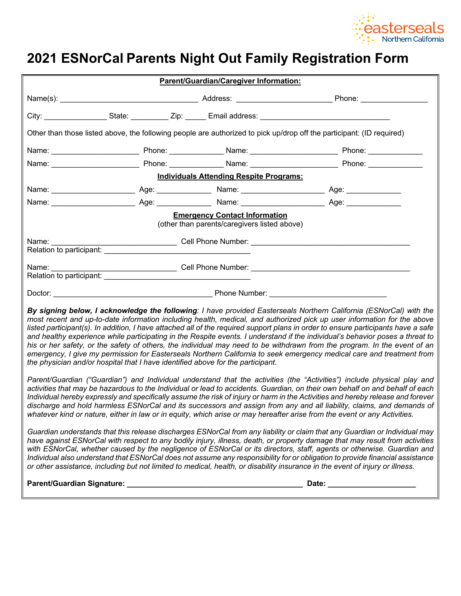

# **2021 ESNorCal Parents Night Out Family Registration Form**

| Parent/Guardian/Caregiver Information:                                                                                                                                                                                                                                                                                                                                                                                                                                                                                                                                                                                                                                                                                                                                                                                                                      |  |                                                                                      |                                                                                                                       |  |
|-------------------------------------------------------------------------------------------------------------------------------------------------------------------------------------------------------------------------------------------------------------------------------------------------------------------------------------------------------------------------------------------------------------------------------------------------------------------------------------------------------------------------------------------------------------------------------------------------------------------------------------------------------------------------------------------------------------------------------------------------------------------------------------------------------------------------------------------------------------|--|--------------------------------------------------------------------------------------|-----------------------------------------------------------------------------------------------------------------------|--|
|                                                                                                                                                                                                                                                                                                                                                                                                                                                                                                                                                                                                                                                                                                                                                                                                                                                             |  |                                                                                      |                                                                                                                       |  |
|                                                                                                                                                                                                                                                                                                                                                                                                                                                                                                                                                                                                                                                                                                                                                                                                                                                             |  |                                                                                      |                                                                                                                       |  |
|                                                                                                                                                                                                                                                                                                                                                                                                                                                                                                                                                                                                                                                                                                                                                                                                                                                             |  |                                                                                      | Other than those listed above, the following people are authorized to pick up/drop off the participant: (ID required) |  |
|                                                                                                                                                                                                                                                                                                                                                                                                                                                                                                                                                                                                                                                                                                                                                                                                                                                             |  |                                                                                      |                                                                                                                       |  |
|                                                                                                                                                                                                                                                                                                                                                                                                                                                                                                                                                                                                                                                                                                                                                                                                                                                             |  |                                                                                      |                                                                                                                       |  |
|                                                                                                                                                                                                                                                                                                                                                                                                                                                                                                                                                                                                                                                                                                                                                                                                                                                             |  | <b>Individuals Attending Respite Programs:</b>                                       |                                                                                                                       |  |
|                                                                                                                                                                                                                                                                                                                                                                                                                                                                                                                                                                                                                                                                                                                                                                                                                                                             |  |                                                                                      |                                                                                                                       |  |
|                                                                                                                                                                                                                                                                                                                                                                                                                                                                                                                                                                                                                                                                                                                                                                                                                                                             |  |                                                                                      |                                                                                                                       |  |
|                                                                                                                                                                                                                                                                                                                                                                                                                                                                                                                                                                                                                                                                                                                                                                                                                                                             |  | <b>Emergency Contact Information</b><br>(other than parents/caregivers listed above) |                                                                                                                       |  |
|                                                                                                                                                                                                                                                                                                                                                                                                                                                                                                                                                                                                                                                                                                                                                                                                                                                             |  |                                                                                      |                                                                                                                       |  |
| Relation to participant:                                                                                                                                                                                                                                                                                                                                                                                                                                                                                                                                                                                                                                                                                                                                                                                                                                    |  |                                                                                      |                                                                                                                       |  |
|                                                                                                                                                                                                                                                                                                                                                                                                                                                                                                                                                                                                                                                                                                                                                                                                                                                             |  |                                                                                      |                                                                                                                       |  |
| By signing below, I acknowledge the following: I have provided Easterseals Northern California (ESNorCal) with the<br>most recent and up-to-date information including health, medical, and authorized pick up user information for the above<br>listed participant(s). In addition, I have attached all of the required support plans in order to ensure participants have a safe<br>and healthy experience while participating in the Respite events. I understand if the individual's behavior poses a threat to<br>his or her safety, or the safety of others, the individual may need to be withdrawn from the program. In the event of an<br>emergency, I give my permission for Easterseals Northern California to seek emergency medical care and treatment from<br>the physician and/or hospital that I have identified above for the participant. |  |                                                                                      |                                                                                                                       |  |
| Parent/Guardian ("Guardian") and Individual understand that the activities (the "Activities") include physical play and<br>activities that may be hazardous to the Individual or lead to accidents. Guardian, on their own behalf on and behalf of each<br>Individual hereby expressly and specifically assume the risk of injury or harm in the Activities and hereby release and forever<br>discharge and hold harmless ESNorCal and its successors and assign from any and all liability, claims, and demands of<br>whatever kind or nature, either in law or in equity, which arise or may hereafter arise from the event or any Activities.                                                                                                                                                                                                            |  |                                                                                      |                                                                                                                       |  |
| Guardian understands that this release discharges ESNorCal from any liability or claim that any Guardian or Individual may<br>have against ESNorCal with respect to any bodily injury, illness, death, or property damage that may result from activities<br>with ESNorCal, whether caused by the negligence of ESNorCal or its directors, staff, agents or otherwise. Guardian and<br>Individual also understand that ESNorCal does not assume any responsibility for or obligation to provide financial assistance<br>or other assistance, including but not limited to medical, health, or disability insurance in the event of injury or illness.                                                                                                                                                                                                       |  |                                                                                      |                                                                                                                       |  |
|                                                                                                                                                                                                                                                                                                                                                                                                                                                                                                                                                                                                                                                                                                                                                                                                                                                             |  |                                                                                      |                                                                                                                       |  |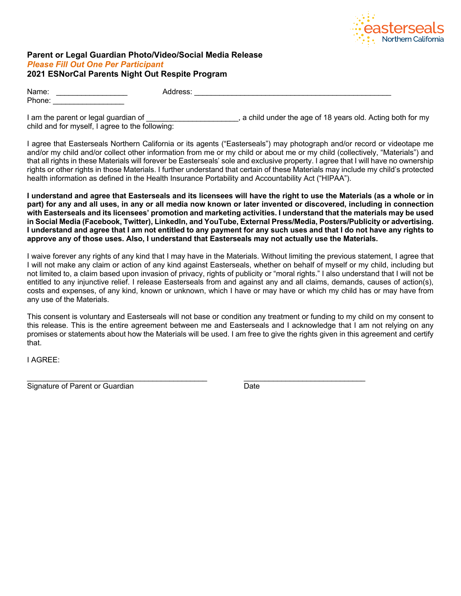

#### **Parent or Legal Guardian Photo/Video/Social Media Release** *Please Fill Out One Per Participant*  **2021 ESNorCal Parents Night Out Respite Program**

| Name:  | Address: |  |
|--------|----------|--|
| Phone: |          |  |
| ____   | ___      |  |

I am the parent or legal guardian of  $\Box$  . A child under the age of 18 years old. Acting both for my child and for myself, I agree to the following:

I agree that Easterseals Northern California or its agents ("Easterseals") may photograph and/or record or videotape me and/or my child and/or collect other information from me or my child or about me or my child (collectively, "Materials") and that all rights in these Materials will forever be Easterseals' sole and exclusive property. I agree that I will have no ownership rights or other rights in those Materials. I further understand that certain of these Materials may include my child's protected health information as defined in the Health Insurance Portability and Accountability Act ("HIPAA").

**I understand and agree that Easterseals and its licensees will have the right to use the Materials (as a whole or in part) for any and all uses, in any or all media now known or later invented or discovered, including in connection with Easterseals and its licensees' promotion and marketing activities. I understand that the materials may be used in Social Media (Facebook, Twitter), LinkedIn, and YouTube, External Press/Media, Posters/Publicity or advertising. I understand and agree that I am not entitled to any payment for any such uses and that I do not have any rights to approve any of those uses. Also, I understand that Easterseals may not actually use the Materials.**

I waive forever any rights of any kind that I may have in the Materials. Without limiting the previous statement, I agree that I will not make any claim or action of any kind against Easterseals, whether on behalf of myself or my child, including but not limited to, a claim based upon invasion of privacy, rights of publicity or "moral rights." I also understand that I will not be entitled to any injunctive relief. I release Easterseals from and against any and all claims, demands, causes of action(s), costs and expenses, of any kind, known or unknown, which I have or may have or which my child has or may have from any use of the Materials.

This consent is voluntary and Easterseals will not base or condition any treatment or funding to my child on my consent to this release. This is the entire agreement between me and Easterseals and I acknowledge that I am not relying on any promises or statements about how the Materials will be used. I am free to give the rights given in this agreement and certify that.

I AGREE:

 $\mathcal{L}_\text{max}$  , and the contribution of the contribution of the contribution of the contribution of the contribution of the contribution of the contribution of the contribution of the contribution of the contribution of t Signature of Parent or Guardian Date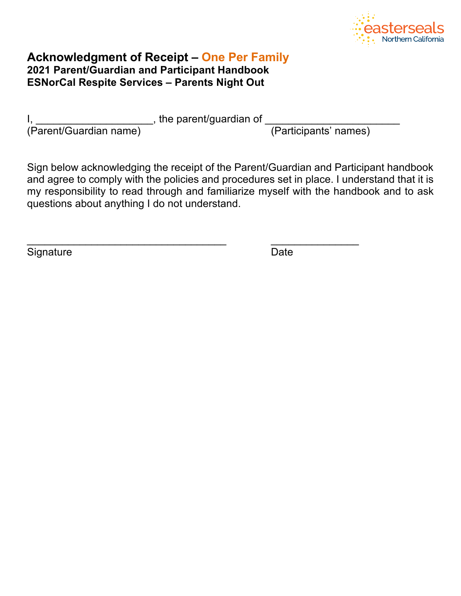

# **Acknowledgment of Receipt – One Per Family 2021 Parent/Guardian and Participant Handbook ESNorCal Respite Services – Parents Night Out**

|  | I<br>×. |  |
|--|---------|--|

 $I, \underline{\hspace{2cm}}$  is a set of the parent/guardian of  $\underline{\hspace{2cm}}$ 

 $\mathcal{L}_\text{max} = \frac{1}{2} \sum_{i=1}^{n} \frac{1}{2} \sum_{i=1}^{n} \frac{1}{2} \sum_{i=1}^{n} \frac{1}{2} \sum_{i=1}^{n} \frac{1}{2} \sum_{i=1}^{n} \frac{1}{2} \sum_{i=1}^{n} \frac{1}{2} \sum_{i=1}^{n} \frac{1}{2} \sum_{i=1}^{n} \frac{1}{2} \sum_{i=1}^{n} \frac{1}{2} \sum_{i=1}^{n} \frac{1}{2} \sum_{i=1}^{n} \frac{1}{2} \sum_{i=1}^{n} \frac{1$ 

(Parent/Guardian name) (Participants' names)

Sign below acknowledging the receipt of the Parent/Guardian and Participant handbook and agree to comply with the policies and procedures set in place. I understand that it is my responsibility to read through and familiarize myself with the handbook and to ask questions about anything I do not understand.

Signature Date **Date**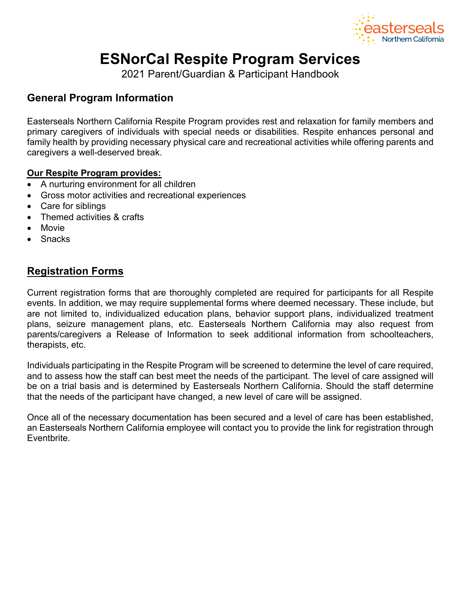

# **ESNorCal Respite Program Services**

2021 Parent/Guardian & Participant Handbook

# **General Program Information**

Easterseals Northern California Respite Program provides rest and relaxation for family members and primary caregivers of individuals with special needs or disabilities. Respite enhances personal and family health by providing necessary physical care and recreational activities while offering parents and caregivers a well-deserved break.

## **Our Respite Program provides:**

- A nurturing environment for all children
- Gross motor activities and recreational experiences
- Care for siblings
- Themed activities & crafts
- **Movie**
- Snacks

# **Registration Forms**

Current registration forms that are thoroughly completed are required for participants for all Respite events. In addition, we may require supplemental forms where deemed necessary. These include, but are not limited to, individualized education plans, behavior support plans, individualized treatment plans, seizure management plans, etc. Easterseals Northern California may also request from parents/caregivers a Release of Information to seek additional information from schoolteachers, therapists, etc.

Individuals participating in the Respite Program will be screened to determine the level of care required, and to assess how the staff can best meet the needs of the participant. The level of care assigned will be on a trial basis and is determined by Easterseals Northern California. Should the staff determine that the needs of the participant have changed, a new level of care will be assigned.

Once all of the necessary documentation has been secured and a level of care has been established, an Easterseals Northern California employee will contact you to provide the link for registration through Eventbrite.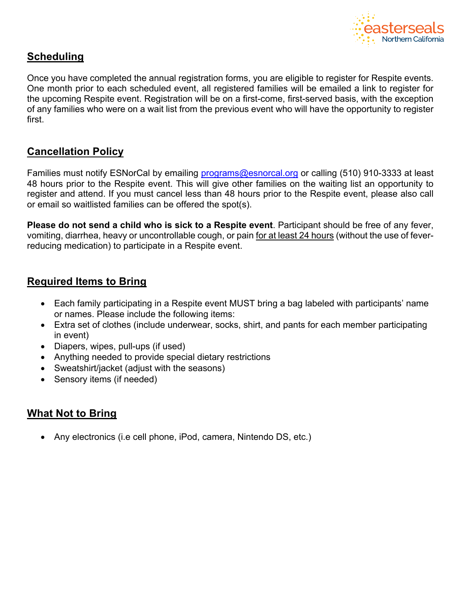

# **Scheduling**

Once you have completed the annual registration forms, you are eligible to register for Respite events. One month prior to each scheduled event, all registered families will be emailed a link to register for the upcoming Respite event. Registration will be on a first-come, first-served basis, with the exception of any families who were on a wait list from the previous event who will have the opportunity to register first.

# **Cancellation Policy**

Families must notify ESNorCal by emailing programs@esnorcal.org or calling (510) 910-3333 at least 48 hours prior to the Respite event. This will give other families on the waiting list an opportunity to register and attend. If you must cancel less than 48 hours prior to the Respite event, please also call or email so waitlisted families can be offered the spot(s).

**Please do not send a child who is sick to a Respite event**. Participant should be free of any fever, vomiting, diarrhea, heavy or uncontrollable cough, or pain for at least 24 hours (without the use of feverreducing medication) to participate in a Respite event.

# **Required Items to Bring**

- Each family participating in a Respite event MUST bring a bag labeled with participants' name or names. Please include the following items:
- Extra set of clothes (include underwear, socks, shirt, and pants for each member participating in event)
- Diapers, wipes, pull-ups (if used)
- Anything needed to provide special dietary restrictions
- Sweatshirt/jacket (adjust with the seasons)
- Sensory items (if needed)

# **What Not to Bring**

• Any electronics (i.e cell phone, iPod, camera, Nintendo DS, etc.)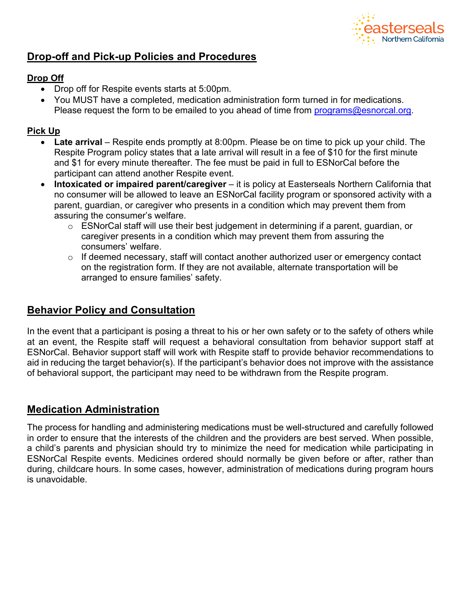

# **Drop-off and Pick-up Policies and Procedures**

## **Drop Off**

- Drop off for Respite events starts at 5:00pm.
- You MUST have a completed, medication administration form turned in for medications. Please request the form to be emailed to you ahead of time from programs@esnorcal.org.

## **Pick Up**

- **Late arrival** Respite ends promptly at 8:00pm. Please be on time to pick up your child. The Respite Program policy states that a late arrival will result in a fee of \$10 for the first minute and \$1 for every minute thereafter. The fee must be paid in full to ESNorCal before the participant can attend another Respite event.
- **Intoxicated or impaired parent/caregiver** it is policy at Easterseals Northern California that no consumer will be allowed to leave an ESNorCal facility program or sponsored activity with a parent, guardian, or caregiver who presents in a condition which may prevent them from assuring the consumer's welfare.
	- o ESNorCal staff will use their best judgement in determining if a parent, guardian, or caregiver presents in a condition which may prevent them from assuring the consumers' welfare.
	- o If deemed necessary, staff will contact another authorized user or emergency contact on the registration form. If they are not available, alternate transportation will be arranged to ensure families' safety.

# **Behavior Policy and Consultation**

In the event that a participant is posing a threat to his or her own safety or to the safety of others while at an event, the Respite staff will request a behavioral consultation from behavior support staff at ESNorCal. Behavior support staff will work with Respite staff to provide behavior recommendations to aid in reducing the target behavior(s). If the participant's behavior does not improve with the assistance of behavioral support, the participant may need to be withdrawn from the Respite program.

# **Medication Administration**

The process for handling and administering medications must be well-structured and carefully followed in order to ensure that the interests of the children and the providers are best served. When possible, a child's parents and physician should try to minimize the need for medication while participating in ESNorCal Respite events. Medicines ordered should normally be given before or after, rather than during, childcare hours. In some cases, however, administration of medications during program hours is unavoidable.